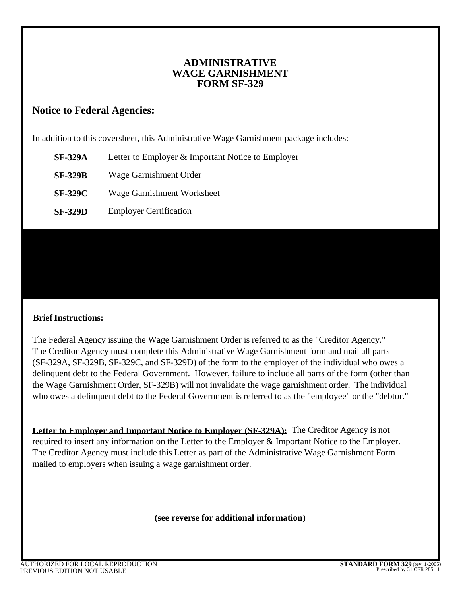# **ADMINISTRATIVE WAGE GARNISHMENT FORM SF-329**

# **Notice to Federal Agencies:**

In addition to this coversheet, this Administrative Wage Garnishment package includes:

- **SF-329A**  Letter to Employer & Important Notice to Employer
- **SF-329B**  Wage Garnishment Order
- **SF-329C**  Wage Garnishment Worksheet
- **SF-329D**  Employer Certification

## **Brief Instructions:**

The Federal Agency issuing the Wage Garnishment Order is referred to as the "Creditor Agency." The Creditor Agency must complete this Administrative Wage Garnishment form and mail all parts (SF-329A, SF-329B, SF-329C, and SF-329D) of the form to the employer of the individual who owes a delinquent debt to the Federal Government. However, failure to include all parts of the form (other than the Wage Garnishment Order, SF-329B) will not invalidate the wage garnishment order. The individual who owes a delinquent debt to the Federal Government is referred to as the "employee" or the "debtor."

*web site at: http://www.fms.treas.gov/debt/awg.html#forms,* 

Letter to Employer and Important Notice to Employer (SF-329A): The Creditor Agency is not required to insert any information on the Letter to the Employer & Important Notice to the Employer. The Creditor Agency must include this Letter as part of the Administrative Wage Garnishment Form mailed to employers when issuing a wage garnishment order.

**(see reverse for additional information)**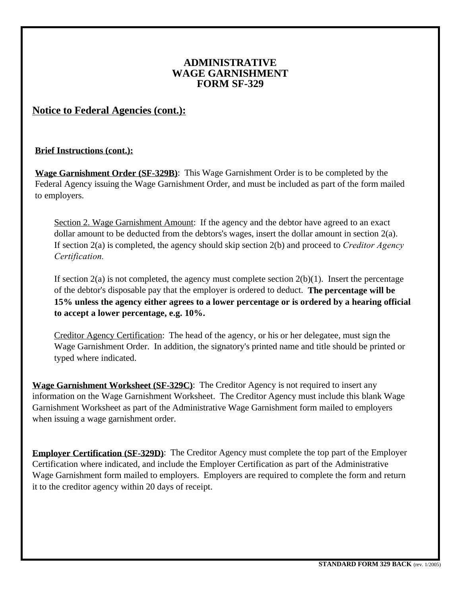# **ADMINISTRATIVE WAGE GARNISHMENT FORM SF-329**

# **Notice to Federal Agencies (cont.):**

## **Brief Instructions (cont.):**

**Wage Garnishment Order (SF-329B)**: This Wage Garnishment Order is to be completed by the Federal Agency issuing the Wage Garnishment Order, and must be included as part of the form mailed to employers.

Section 2. Wage Garnishment Amount: If the agency and the debtor have agreed to an exact dollar amount to be deducted from the debtors's wages, insert the dollar amount in section  $2(a)$ . If section 2(a) is completed, the agency should skip section 2(b) and proceed to *Creditor Agency Certification.* 

If section  $2(a)$  is not completed, the agency must complete section  $2(b)(1)$ . Insert the percentage of the debtor's disposable pay that the employer is ordered to deduct. **The percentage will be 15% unless the agency either agrees to a lower percentage or is ordered by a hearing official to accept a lower percentage, e.g. 10%.** 

Creditor Agency Certification: The head of the agency, or his or her delegatee, must sign the Wage Garnishment Order. In addition, the signatory's printed name and title should be printed or typed where indicated.

**Wage Garnishment Worksheet (SF-329C)**: The Creditor Agency is not required to insert any information on the Wage Garnishment Worksheet. The Creditor Agency must include this blank Wage Garnishment Worksheet as part of the Administrative Wage Garnishment form mailed to employers when issuing a wage garnishment order.

**Employer Certification (SF-329D)**: The Creditor Agency must complete the top part of the Employer Certification where indicated, and include the Employer Certification as part of the Administrative Wage Garnishment form mailed to employers. Employers are required to complete the form and return it to the creditor agency within 20 days of receipt.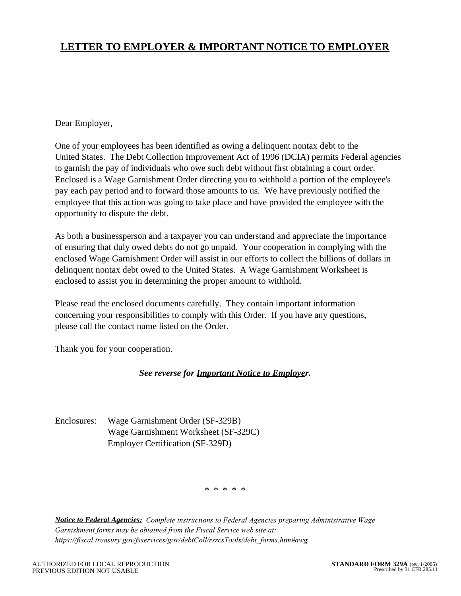# **LETTER TO EMPLOYER & IMPORTANT NOTICE TO EMPLOYER**

### Dear Employer,

One of your employees has been identified as owing a delinquent nontax debt to the United States. The Debt Collection Improvement Act of 1996 (DCIA) permits Federal agencies to garnish the pay of individuals who owe such debt without first obtaining a court order. Enclosed is a Wage Garnishment Order directing you to withhold a portion of the employee's pay each pay period and to forward those amounts to us. We have previously notified the employee that this action was going to take place and have provided the employee with the opportunity to dispute the debt.

As both a businessperson and a taxpayer you can understand and appreciate the importance of ensuring that duly owed debts do not go unpaid. Your cooperation in complying with the enclosed Wage Garnishment Order will assist in our efforts to collect the billions of dollars in delinquent nontax debt owed to the United States. A Wage Garnishment Worksheet is enclosed to assist you in determining the proper amount to withhold.

Please read the enclosed documents carefully. They contain important information concerning your responsibilities to comply with this Order. If you have any questions, please call the contact name listed on the Order.

Thank you for your cooperation.

#### *See reverse for Important Notice to Employer.*

Enclosures: Wage Garnishment Order (SF-329B) Wage Garnishment Worksheet (SF-329C) Employer Certification (SF-329D)

\* \* \* \* \*

*Notice to Federal Agencies: Complete instructions to Federal Agencies preparing Administrative Wage Garnishment forms may be obtained from the Fiscal Service web site at: https://fiscal.treasury.gov/fsservices/gov/debtColl/rsrcsTools/debt\_forms.htm#awg*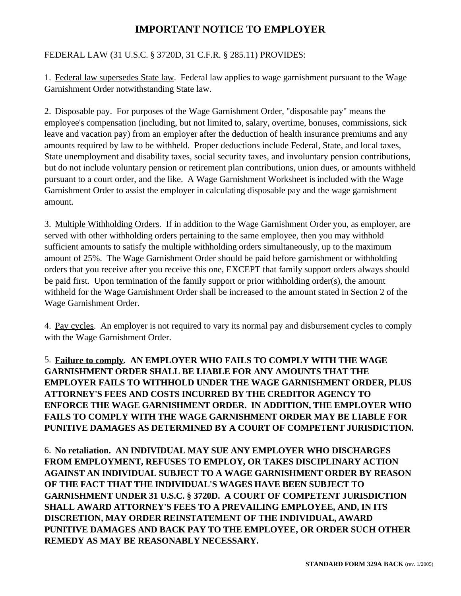# **IMPORTANT NOTICE TO EMPLOYER**

## FEDERAL LAW (31 U.S.C. § 3720D, 31 C.F.R. § 285.11) PROVIDES:

1. Federal law supersedes State law. Federal law applies to wage garnishment pursuant to the Wage Garnishment Order notwithstanding State law.

2. Disposable pay. For purposes of the Wage Garnishment Order, "disposable pay" means the employee's compensation (including, but not limited to, salary, overtime, bonuses, commissions, sick leave and vacation pay) from an employer after the deduction of health insurance premiums and any amounts required by law to be withheld. Proper deductions include Federal, State, and local taxes, State unemployment and disability taxes, social security taxes, and involuntary pension contributions, but do not include voluntary pension or retirement plan contributions, union dues, or amounts withheld pursuant to a court order, and the like. A Wage Garnishment Worksheet is included with the Wage Garnishment Order to assist the employer in calculating disposable pay and the wage garnishment amount.

3. Multiple Withholding Orders. If in addition to the Wage Garnishment Order you, as employer, are served with other withholding orders pertaining to the same employee, then you may withhold sufficient amounts to satisfy the multiple withholding orders simultaneously, up to the maximum amount of 25%. The Wage Garnishment Order should be paid before garnishment or withholding orders that you receive after you receive this one, EXCEPT that family support orders always should be paid first. Upon termination of the family support or prior withholding order(s), the amount withheld for the Wage Garnishment Order shall be increased to the amount stated in Section 2 of the Wage Garnishment Order.

4. Pay cycles. An employer is not required to vary its normal pay and disbursement cycles to comply with the Wage Garnishment Order.

5. **Failure to comply. AN EMPLOYER WHO FAILS TO COMPLY WITH THE WAGE GARNISHMENT ORDER SHALL BE LIABLE FOR ANY AMOUNTS THAT THE EMPLOYER FAILS TO WITHHOLD UNDER THE WAGE GARNISHMENT ORDER, PLUS ATTORNEY'S FEES AND COSTS INCURRED BY THE CREDITOR AGENCY TO ENFORCE THE WAGE GARNISHMENT ORDER. IN ADDITION, THE EMPLOYER WHO FAILS TO COMPLY WITH THE WAGE GARNISHMENT ORDER MAY BE LIABLE FOR PUNITIVE DAMAGES AS DETERMINED BY A COURT OF COMPETENT JURISDICTION.** 

6. **No retaliation. AN INDIVIDUAL MAY SUE ANY EMPLOYER WHO DISCHARGES FROM EMPLOYMENT, REFUSES TO EMPLOY, OR TAKES DISCIPLINARY ACTION AGAINST AN INDIVIDUAL SUBJECT TO A WAGE GARNISHMENT ORDER BY REASON OF THE FACT THAT THE INDIVIDUAL'S WAGES HAVE BEEN SUBJECT TO GARNISHMENT UNDER 31 U.S.C. § 3720D. A COURT OF COMPETENT JURISDICTION SHALL AWARD ATTORNEY'S FEES TO A PREVAILING EMPLOYEE, AND, IN ITS DISCRETION, MAY ORDER REINSTATEMENT OF THE INDIVIDUAL, AWARD PUNITIVE DAMAGES AND BACK PAY TO THE EMPLOYEE, OR ORDER SUCH OTHER REMEDY AS MAY BE REASONABLY NECESSARY.**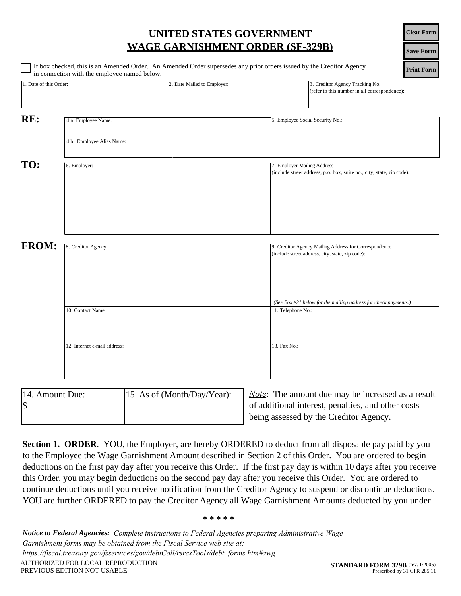| UNITED STATES GOVERNMENT                |
|-----------------------------------------|
| <b>WAGE GARNISHMENT ORDER (SF-329B)</b> |

|                        | in connection with the employee named below. |                             |                                                                                                           |
|------------------------|----------------------------------------------|-----------------------------|-----------------------------------------------------------------------------------------------------------|
| 1. Date of this Order: |                                              | 2. Date Mailed to Employer: | 3. Creditor Agency Tracking No.<br>(refer to this number in all correspondence):                          |
| RE:                    | 4.a. Employee Name:                          |                             | 5. Employee Social Security No.:                                                                          |
|                        | 4.b. Employee Alias Name:                    |                             |                                                                                                           |
| TO:                    | 6. Employer:                                 |                             | 7. Employer Mailing Address                                                                               |
|                        |                                              |                             | (include street address, p.o. box, suite no., city, state, zip code):                                     |
|                        |                                              |                             |                                                                                                           |
|                        |                                              |                             |                                                                                                           |
|                        |                                              |                             |                                                                                                           |
| <b>FROM:</b>           | 8. Creditor Agency:                          |                             | 9. Creditor Agency Mailing Address for Correspondence<br>(include street address, city, state, zip code): |
|                        |                                              |                             |                                                                                                           |
|                        |                                              |                             |                                                                                                           |
|                        |                                              |                             | (See Box #21 below for the mailing address for check payments.)                                           |
|                        | 10. Contact Name:                            |                             | 11. Telephone No.:                                                                                        |
|                        |                                              |                             |                                                                                                           |
|                        | 12. Internet e-mail address:                 |                             | 13. Fax No.:                                                                                              |
|                        |                                              |                             |                                                                                                           |

| 14. Amount Due: | 15. As of (Month/Day/Year): |
|-----------------|-----------------------------|
| $\sqrt{3}$      |                             |
|                 |                             |

*Note*: The amount due may be increased as a result of additional interest, penalties, and other costs being assessed by the Creditor Agency.

**Section 1. ORDER**. YOU, the Employer, are hereby ORDERED to deduct from all disposable pay paid by you to the Employee the Wage Garnishment Amount described in Section 2 of this Order. You are ordered to begin deductions on the first pay day after you receive this Order. If the first pay day is within 10 days after you receive this Order, you may begin deductions on the second pay day after you receive this Order. You are ordered to continue deductions until you receive notification from the Creditor Agency to suspend or discontinue deductions. YOU are further ORDERED to pay the Creditor Agency all Wage Garnishment Amounts deducted by you under

*Notice to Federal Agencies: Complete instructions to Federal Agencies preparing Administrative Wage Garnishment forms may be obtained from the Fiscal Service web site at: https://fiscal.treasury.gov/fsservices/gov/debtColl/rsrcsTools/debt\_forms.htm#awg* 

**Print Form Save Form Clear Form**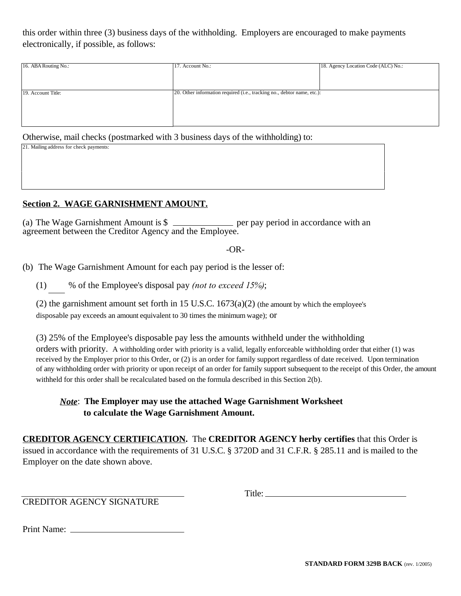this order within three (3) business days of the withholding. Employers are encouraged to make payments electronically, if possible, as follows:

| 16. ABA Routing No.: | 17. Account No.:                                                        | 18. Agency Location Code (ALC) No.: |
|----------------------|-------------------------------------------------------------------------|-------------------------------------|
|                      |                                                                         |                                     |
|                      |                                                                         |                                     |
| 19. Account Title:   | 20. Other information required (i.e., tracking no., debtor name, etc.): |                                     |
|                      |                                                                         |                                     |
|                      |                                                                         |                                     |
|                      |                                                                         |                                     |

Otherwise, mail checks (postmarked with 3 business days of the withholding) to:

| 21. Mailing address for check payments: |  |
|-----------------------------------------|--|
|                                         |  |
|                                         |  |
|                                         |  |
|                                         |  |
|                                         |  |
|                                         |  |

#### **Section 2. WAGE GARNISHMENT AMOUNT.**

(a) The Wage Garnishment Amount is  $\frac{1}{2}$  per pay period in accordance with an agreement between the Creditor Agency and the Employee.

 $-OR-$ 

(b) The Wage Garnishment Amount for each pay period is the lesser of:

(1) % of the Employee's disposal pay *(not to exceed 15%)*;

(2) the garnishment amount set forth in 15 U.S.C.  $1673(a)(2)$  (the amount by which the employee's disposable pay exceeds an amount equivalent to 30 times the minimum wage); or

(3) 25% of the Employee's disposable pay less the amounts withheld under the withholding orders with priority. A withholding order with priority is a valid, legally enforceable withholding order that either (1) was received by the Employer prior to this Order, or (2) is an order for family support regardless of date received. Upon termination of any withholding order with priority or upon receipt of an order for family support subsequent to the receipt of this Order, the amount withheld for this order shall be recalculated based on the formula described in this Section 2(b).

## *Note*: **The Employer may use the attached Wage Garnishment Worksheet to calculate the Wage Garnishment Amount.**

**CREDITOR AGENCY CERTIFICATION.** The **CREDITOR AGENCY herby certifies** that this Order is issued in accordance with the requirements of 31 U.S.C. § 3720D and 31 C.F.R. § 285.11 and is mailed to the Employer on the date shown above.

CREDITOR AGENCY SIGNATURE

Title: **The Community of the Community of the Community** of the Community of the Community of the Community of the Community of the Community of the Community of the Community of the Community of the Community of the Commu

Print Name: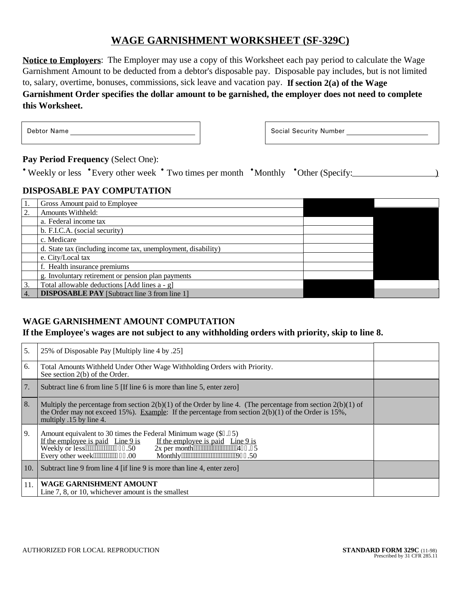# **WAGE GARNISHMENT WORKSHEET (SF-329C)**

**Notice to Employers**: The Employer may use a copy of this Worksheet each pay period to calculate the Wage Garnishment Amount to be deducted from a debtor's disposable pay. Disposable pay includes, but is not limited to, salary, overtime, bonuses, commissions, sick leave and vacation pay. **If section 2(a) of the Wage Garnishment Order specifies the dollar amount to be garnished, the employer does not need to complete this Worksheet.**

The Debtor Name and the Music Security Number and the Music Security Number and Technical Security Number

Pay Period Frequency (Select One):<br>\* Weekly or less \*Every other week \* Two times per month \*Monthly \*Other (Specify:\_\_\_\_\_\_\_\_\_\_\_\_\_\_\_\_\_\_\_\_

## **DISPOSABLE PAY COMPUTATION**

|                | Gross Amount paid to Employee                                 |  |
|----------------|---------------------------------------------------------------|--|
| 2.             | <b>Amounts Withheld:</b>                                      |  |
|                | a. Federal income tax                                         |  |
|                | b. F.I.C.A. (social security)                                 |  |
|                | c. Medicare                                                   |  |
|                | d. State tax (including income tax, unemployment, disability) |  |
|                | e. City/Local tax                                             |  |
|                | f. Health insurance premiums                                  |  |
|                | g. Involuntary retirement or pension plan payments            |  |
| 3.             | Total allowable deductions [Add lines a - g]                  |  |
| $\overline{4}$ | <b>DISPOSABLE PAY</b> [Subtract line 3 from line 1]           |  |

# **WAGE GARNISHMENT AMOUNT COMPUTATION**

**If the Employee's wages are not subject to any withholding orders with priority, skip to line 8.**

| 5.  | 25% of Disposable Pay [Multiply line 4 by .25]                                                                                                                                                                                                                                                                                                                                                  |  |
|-----|-------------------------------------------------------------------------------------------------------------------------------------------------------------------------------------------------------------------------------------------------------------------------------------------------------------------------------------------------------------------------------------------------|--|
| 6.  | Total Amounts Withheld Under Other Wage Withholding Orders with Priority.<br>See section 2(b) of the Order.                                                                                                                                                                                                                                                                                     |  |
| 7.  | Subtract line 6 from line 5 [If line 6 is more than line 5, enter zero]                                                                                                                                                                                                                                                                                                                         |  |
| 8.  | Multiply the percentage from section $2(b)(1)$ of the Order by line 4. (The percentage from section $2(b)(1)$ of<br>the Order may not exceed 15%). Example: If the percentage from section $2(b)(1)$ of the Order is 15%,<br>multiply .15 by line 4.                                                                                                                                            |  |
| 9.  | Amount equivalent to 30 times the Federal Minimum wage (\$9.45)<br>If the employee is paid Line $9$ is<br>If the employee is paid Line $9$ is<br>$2x$ per month $\overline{1}$ $\overline{1}$ $\overline{1}$ $\overline{1}$ $\overline{2}$ $\overline{3}$ $\overline{4}$ $\overline{5}$<br>Weekly or less"""""""""439.50<br>Monthly""""""""""""""""""""964.50<br>Every other week""""""""657.00 |  |
| 10. | Subtract line 9 from line 4 [if line 9 is more than line 4, enter zero]                                                                                                                                                                                                                                                                                                                         |  |
| 11. | WAGE GARNISHMENT AMOUNT<br>Line 7, 8, or 10, whichever amount is the smallest                                                                                                                                                                                                                                                                                                                   |  |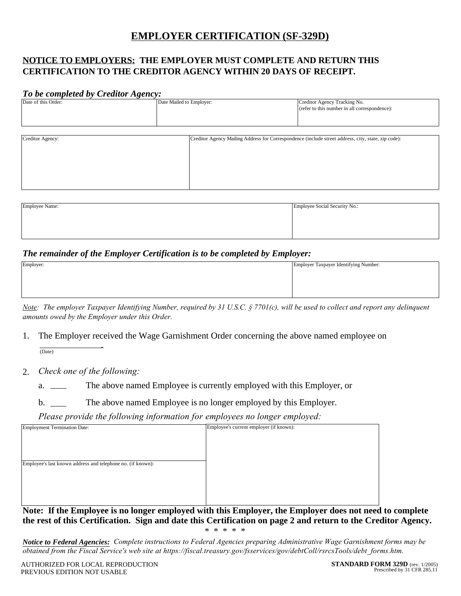# **EMPLOYER CERTIFICATION (SF-329D)**

## **NOTICE TO EMPLOYERS: THE EMPLOYER MUST COMPLETE AND RETURN THIS CERTIFICATION TO THE CREDITOR AGENCY WITHIN 20 DAYS OF RECEIPT.**

#### *To be completed by Creditor Agency:*

| Date of this Order: | Date Mailed to Employer: | Creditor Agency Tracking No.                  |
|---------------------|--------------------------|-----------------------------------------------|
|                     |                          | (refer to this number in all correspondence): |
|                     |                          |                                               |
|                     |                          |                                               |
|                     |                          |                                               |

| Creditor Agency: | Creditor Agency Mailing Address for Correspondence (include street address, city, state, zip code): |  |
|------------------|-----------------------------------------------------------------------------------------------------|--|
|                  |                                                                                                     |  |
|                  |                                                                                                     |  |
|                  |                                                                                                     |  |
|                  |                                                                                                     |  |
|                  |                                                                                                     |  |
|                  |                                                                                                     |  |

| Employee Name: | Employee Social Security No.: |
|----------------|-------------------------------|
|                |                               |
|                |                               |
|                |                               |

#### *The remainder of the Employer Certification is to be completed by Employer:*

| Employer: | Employer Taxpayer Identifying Number: |
|-----------|---------------------------------------|
|           |                                       |
|           |                                       |
|           |                                       |
|           |                                       |

*Note: The employer Taxpayer Identifying Number, required by 31 U.S.C. § 7701(c), will be used to collect and report any delinquent amounts owed by the Employer under this Order.* 

1. The Employer received the Wage Garnishment Order concerning the above named employee on  $\overline{\text{Data}}$ 

2. *Check one of the following:*

a. The above named Employee is currently employed with this Employer, or

b. The above named Employee is no longer employed by this Employer.

*Please provide the following information for employees no longer employed:* 

**Note: If the Employee is no longer employed with this Employer, the Employer does not need to complete the rest of this Certification. Sign and date this Certification on page 2 and return to the Creditor Agency.**  \* \* \* \* \*

*Notice to Federal Agencies: Complete instructions to Federal Agencies preparing Administrative Wage Garnishment forms may be obtained from the Fiscal Service's web site at https://fiscal.treasury.gov/fsservices/gov/debtColl/rsrcsTools/debt\_forms.htm.*